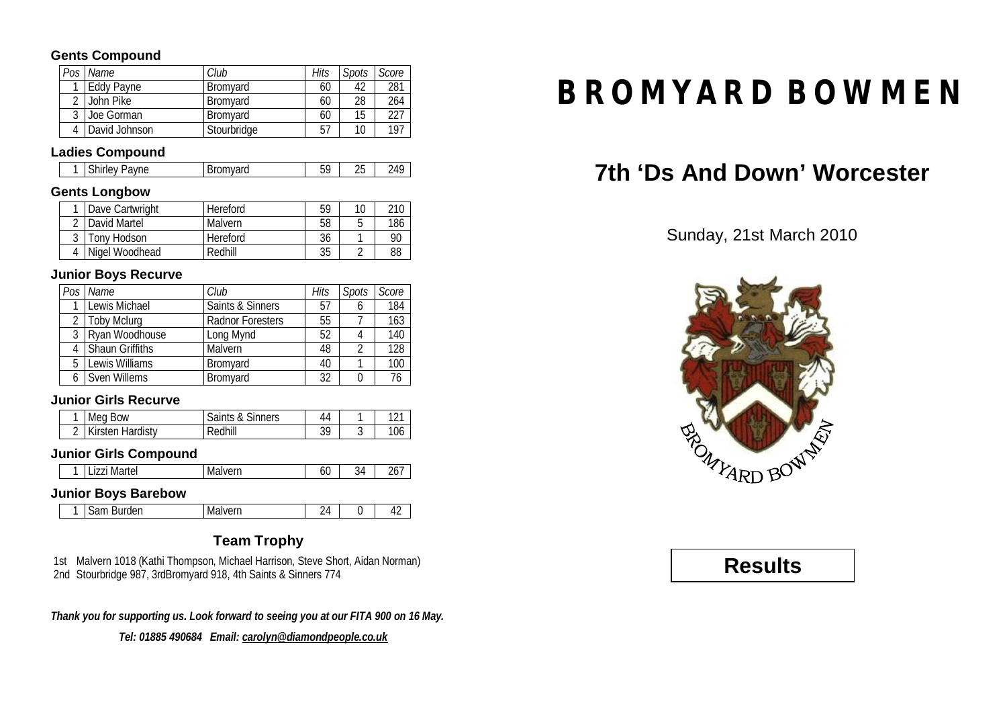### **Gents Compound**

| Pos | Name          | Club            | Hits | Spots | Score |
|-----|---------------|-----------------|------|-------|-------|
|     | Eddy Payne    | <b>Bromvard</b> | 60   | 42    | 281   |
|     | John Pike     | <b>Bromvard</b> | 60   | 28    | 264   |
| റ   | Joe Gorman    | <b>Bromvard</b> | 60   | 15    | つつフ   |
|     | David Johnson | Stourbridge     | 57   | 10    | 197   |

### **Ladies Compound**

| $\sim$ $-$<br>- -<br>avne<br>Jramvard<br>nU<br>nvaru<br>ווטי.<br>штеу<br>ы<br>ູ<br>∠∪ |
|---------------------------------------------------------------------------------------|
|---------------------------------------------------------------------------------------|

### **Gents Longbow**

| Dave Cartwright | Hereford | 59 | 10 | 210 |
|-----------------|----------|----|----|-----|
| David Martel    | Malvern  | 58 |    | 186 |
| Tony Hodson     | Hereford | 36 |    | 90  |
| Nigel Woodhead  | Redhill  | 35 |    | 88  |

### **Junior Boys Recurve**

| Pos | Name                   | Club                    | Hits | <b>Spots</b> | Score |
|-----|------------------------|-------------------------|------|--------------|-------|
|     | Lewis Michael          | Saints & Sinners        | 57   |              | 184   |
|     | 2   Toby Mclurg        | <b>Radnor Foresters</b> | 55   |              | 163   |
| 3   | Ryan Woodhouse         | Long Mynd               | 52   | 4            | 140   |
|     | <b>Shaun Griffiths</b> | Malvern                 | 48   | 2            | 128   |
| 5   | Lewis Williams         | <b>Bromyard</b>         | 40   |              | 100   |
|     | Sven Willems           | <b>Bromyard</b>         | 32   |              | 76    |

### **Junior Girls Recurve**

| Meg Bow                 | Saints & Sinners | 44 | 101 |
|-------------------------|------------------|----|-----|
| <b>Kirsten Hardisty</b> | Redhill          | 39 | 106 |

### **Junior Girls Compound**

| ————<br>ivial tui<br>니스니<br>. | .<br>™∪⊏⊔⊥<br><b>IVIGIV</b> | ы | ∢∠<br>ັບ. | ، ب |
|-------------------------------|-----------------------------|---|-----------|-----|
|-------------------------------|-----------------------------|---|-----------|-----|

### **Junior Boys Barebow**

| مرما المعر<br>--<br>---<br>uer.<br>ುಂ<br><b>IVIGIVEIII</b><br>_<br>_ _ _ _ | <u>.</u> |  | . . |
|----------------------------------------------------------------------------|----------|--|-----|
|----------------------------------------------------------------------------|----------|--|-----|

### **Team Trophy**

1st Malvern 1018 (Kathi Thompson, Michael Harrison, Steve Short, Aidan Norman) 2nd Stourbridge 987, 3rdBromyard 918, 4th Saints & Sinners 774

*Thank you for supporting us. Look forward to seeing you at our FITA 900 on 16 May.*

*Tel: 01885 490684 Email: [carolyn@diamondpeople.co.uk](mailto:carolyn@diamondpeople.co.uk)*

# **BROMYARD BOWMEN**

# **7th 'Ds And Down' Worcester**

Sunday, 21st March 2010



## **Results**